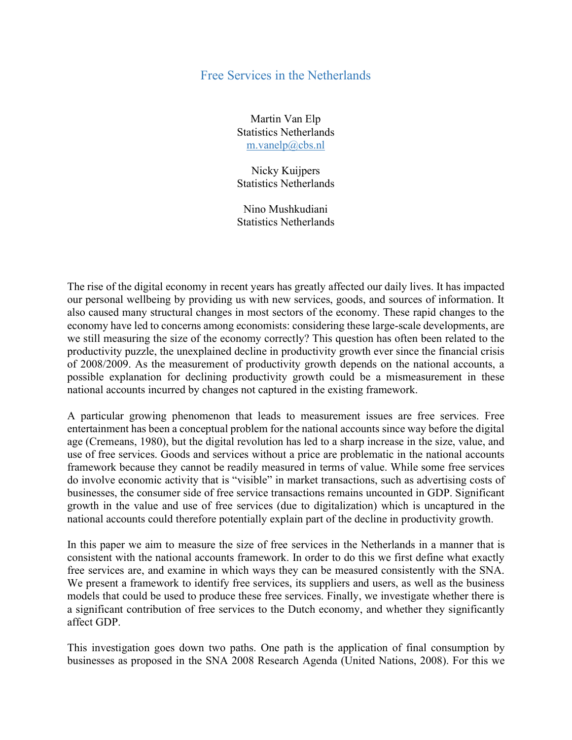## Free Services in the Netherlands

Martin Van Elp Statistics Netherlands m.vanelp@cbs.nl

Nicky Kuijpers Statistics Netherlands

Nino Mushkudiani Statistics Netherlands

The rise of the digital economy in recent years has greatly affected our daily lives. It has impacted our personal wellbeing by providing us with new services, goods, and sources of information. It also caused many structural changes in most sectors of the economy. These rapid changes to the economy have led to concerns among economists: considering these large-scale developments, are we still measuring the size of the economy correctly? This question has often been related to the productivity puzzle, the unexplained decline in productivity growth ever since the financial crisis of 2008/2009. As the measurement of productivity growth depends on the national accounts, a possible explanation for declining productivity growth could be a mismeasurement in these national accounts incurred by changes not captured in the existing framework.

A particular growing phenomenon that leads to measurement issues are free services. Free entertainment has been a conceptual problem for the national accounts since way before the digital age (Cremeans, 1980), but the digital revolution has led to a sharp increase in the size, value, and use of free services. Goods and services without a price are problematic in the national accounts framework because they cannot be readily measured in terms of value. While some free services do involve economic activity that is "visible" in market transactions, such as advertising costs of businesses, the consumer side of free service transactions remains uncounted in GDP. Significant growth in the value and use of free services (due to digitalization) which is uncaptured in the national accounts could therefore potentially explain part of the decline in productivity growth.

In this paper we aim to measure the size of free services in the Netherlands in a manner that is consistent with the national accounts framework. In order to do this we first define what exactly free services are, and examine in which ways they can be measured consistently with the SNA. We present a framework to identify free services, its suppliers and users, as well as the business models that could be used to produce these free services. Finally, we investigate whether there is a significant contribution of free services to the Dutch economy, and whether they significantly affect GDP.

This investigation goes down two paths. One path is the application of final consumption by businesses as proposed in the SNA 2008 Research Agenda (United Nations, 2008). For this we